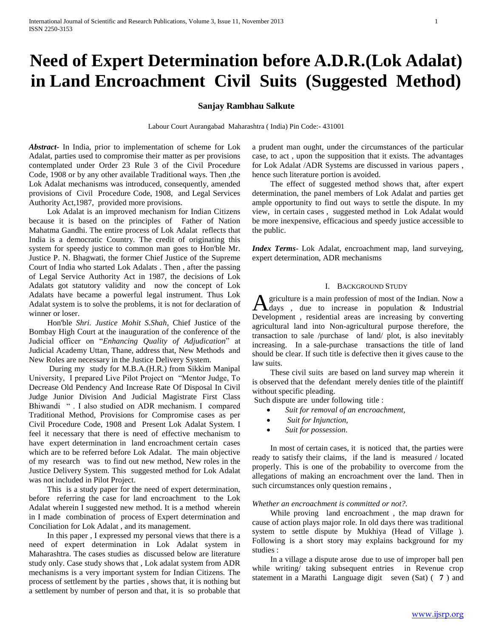# **Need of Expert Determination before A.D.R.(Lok Adalat) in Land Encroachment Civil Suits (Suggested Method)**

# **Sanjay Rambhau Salkute**

Labour Court Aurangabad Maharashtra ( India) Pin Code:- 431001

*Abstract***-** In India, prior to implementation of scheme for Lok Adalat, parties used to compromise their matter as per provisions contemplated under Order 23 Rule 3 of the Civil Procedure Code, 1908 or by any other available Traditional ways. Then ,the Lok Adalat mechanisms was introduced, consequently, amended provisions of Civil Procedure Code, 1908, and Legal Services Authority Act,1987, provided more provisions.

 Lok Adalat is an improved mechanism for Indian Citizens because it is based on the principles of Father of Nation Mahatma Gandhi. The entire process of Lok Adalat reflects that India is a democratic Country. The credit of originating this system for speedy justice to common man goes to Hon'ble Mr. Justice P. N. Bhagwati, the former Chief Justice of the Supreme Court of India who started Lok Adalats . Then , after the passing of Legal Service Authority Act in 1987, the decisions of Lok Adalats got statutory validity and now the concept of Lok Adalats have became a powerful legal instrument. Thus Lok Adalat system is to solve the problems, it is not for declaration of winner or loser.

 Hon'ble *Shri. Justice Mohit S.Shah*, Chief Justice of the Bombay High Court at the inauguration of the conference of the Judicial officer on "*Enhancing Quality of Adjudication*" at Judicial Academy Uttan, Thane, address that, New Methods and New Roles are necessary in the Justice Delivery System.

 During my study for M.B.A.(H.R.) from Sikkim Manipal University, I prepared Live Pilot Project on "Mentor Judge, To Decrease Old Pendency And Increase Rate Of Disposal In Civil Judge Junior Division And Judicial Magistrate First Class Bhiwandi " . I also studied on ADR mechanism. I compared Traditional Method, Provisions for Compromise cases as per Civil Procedure Code, 1908 and Present Lok Adalat System. I feel it necessary that there is need of effective mechanism to have expert determination in land encroachment certain cases which are to be referred before Lok Adalat. The main objective of my research was to find out new method, New roles in the Justice Delivery System. This suggested method for Lok Adalat was not included in Pilot Project.

 This is a study paper for the need of expert determination, before referring the case for land encroachment to the Lok Adalat wherein I suggested new method. It is a method wherein in I made combination of process of Expert determination and Conciliation for Lok Adalat , and its management.

 In this paper , I expressed my personal views that there is a need of expert determination in Lok Adalat system in Maharashtra. The cases studies as discussed below are literature study only. Case study shows that , Lok adalat system from ADR mechanisms is a very important system for Indian Citizens. The process of settlement by the parties , shows that, it is nothing but a settlement by number of person and that, it is so probable that

a prudent man ought, under the circumstances of the particular case, to act , upon the supposition that it exists. The advantages for Lok Adalat /ADR Systems are discussed in various papers , hence such literature portion is avoided.

 The effect of suggested method shows that, after expert determination, the panel members of Lok Adalat and parties get ample opportunity to find out ways to settle the dispute. In my view, in certain cases , suggested method in Lok Adalat would be more inexpensive, efficacious and speedy justice accessible to the public.

*Index Terms*- Lok Adalat, encroachment map, land surveying, expert determination, ADR mechanisms

#### I. BACKGROUND STUDY

griculture is a main profession of most of the Indian. Now a **A** griculture is a main profession of most of the Indian. Now a days , due to increase in population & Industrial Development , residential areas are increasing by converting agricultural land into Non-agricultural purpose therefore, the transaction to sale /purchase of land/ plot, is also inevitably increasing. In a sale-purchase transactions the title of land should be clear. If such title is defective then it gives cause to the law suits.

 These civil suits are based on land survey map wherein it is observed that the defendant merely denies title of the plaintiff without specific pleading.

Such dispute are under following title :

- *Suit for removal of an encroachment,*
- *Suit for Injunction,*
- *Suit for possession*.

 In most of certain cases, it is noticed that, the parties were ready to satisfy their claims, if the land is measured / located properly. This is one of the probability to overcome from the allegations of making an encroachment over the land. Then in such circumstances only question remains ,

#### *Whether an encroachment is committed or not?.*

 While proving land encroachment , the map drawn for cause of action plays major role. In old days there was traditional system to settle dispute by Mukhiya (Head of Village ). Following is a short story may explains background for my studies :

 In a village a dispute arose due to use of improper ball pen while writing/ taking subsequent entries in Revenue crop statement in a Marathi Language digit seven (Sat) ( **7** ) and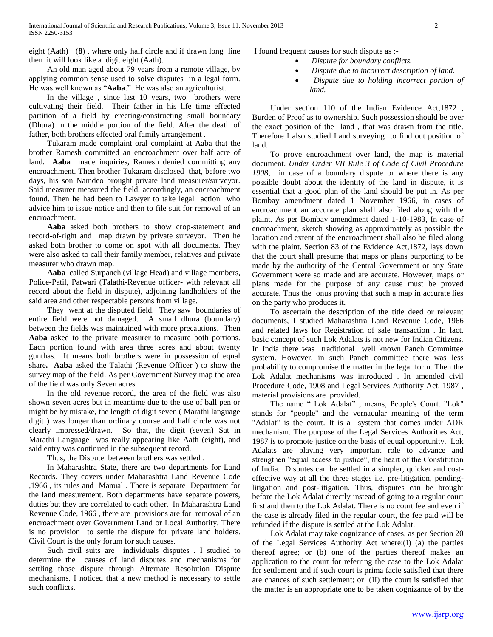eight (Aath) (**8**) , where only half circle and if drawn long line then it will look like a digit eight (Aath).

 An old man aged about 79 years from a remote village, by applying common sense used to solve disputes in a legal form. He was well known as "**Aaba**." He was also an agriculturist.

 In the village , since last 10 years, two brothers were cultivating their field. Their father in his life time effected partition of a field by erecting/constructing small boundary (Dhura) in the middle portion of the field. After the death of father, both brothers effected oral family arrangement .

 Tukaram made complaint oral complaint at Aaba that the brother Ramesh committed an encroachment over half acre of land. **Aaba** made inquiries, Ramesh denied committing any encroachment. Then brother Tukaram disclosed that, before two days, his son Namdeo brought private land measurer/surveyor. Said measurer measured the field, accordingly, an encroachment found. Then he had been to Lawyer to take legal action who advice him to issue notice and then to file suit for removal of an encroachment.

 **Aaba** asked both brothers to show crop-statement and record-of-right and map drawn by private surveyor. Then he asked both brother to come on spot with all documents. They were also asked to call their family member, relatives and private measurer who drawn map.

 **Aaba** called Surpanch (village Head) and village members, Police-Patil, Patwari (Talathi-Revenue officer- with relevant all record about the field in dispute), adjoining landholders of the said area and other respectable persons from village.

 They went at the disputed field. They saw boundaries of entire field were not damaged. A small dhura (boundary) between the fields was maintained with more precautions. Then **Aaba** asked to the private measurer to measure both portions. Each portion found with area three acres and about twenty gunthas. It means both brothers were in possession of equal share**. Aaba** asked the Talathi (Revenue Officer ) to show the survey map of the field. As per Government Survey map the area of the field was only Seven acres.

 In the old revenue record, the area of the field was also shown seven acres but in meantime due to the use of ball pen or might be by mistake, the length of digit seven ( Marathi language digit ) was longer than ordinary course and half circle was not clearly impressed/drawn. So that, the digit (seven) Sat in Marathi Language was really appearing like Aath (eight), and said entry was continued in the subsequent record.

Thus, the Dispute between brothers was settled .

 In Maharashtra State, there are two departments for Land Records. They covers under Maharashtra Land Revenue Code ,1966 , its rules and Manual . There is separate Department for the land measurement. Both departments have separate powers, duties but they are correlated to each other. In Maharashtra Land Revenue Code, 1966 , there are provisions are for removal of an encroachment over Government Land or Local Authority. There is no provision to settle the dispute for private land holders. Civil Court is the only forum for such causes.

 Such civil suits are individuals disputes **.** I studied to determine the causes of land disputes and mechanisms for settling those dispute through Alternate Resolution Dispute mechanisms. I noticed that a new method is necessary to settle such conflicts.

I found frequent causes for such dispute as :-

- *Dispute for boundary conflicts.*
- *Dispute due to incorrect description of land.*
- *Dispute due to holding incorrect portion of land.*

 Under section 110 of the Indian Evidence Act,1872 , Burden of Proof as to ownership. Such possession should be over the exact position of the land , that was drawn from the title. Therefore I also studied Land surveying to find out position of land.

 To prove encroachment over land, the map is material document. *Under Order VII Rule 3 of Code of Civil Procedure 1908*, in case of a boundary dispute or where there is any possible doubt about the identity of the land in dispute, it is essential that a good plan of the land should be put in. As per Bombay amendment dated 1 November 1966, in cases of encroachment an accurate plan shall also filed along with the plaint. As per Bombay amendment dated 1-10-1983, In case of encroachment, sketch showing as approximately as possible the location and extent of the encroachment shall also be filed along with the plaint. Section 83 of the Evidence Act,1872, lays down that the court shall presume that maps or plans purporting to be made by the authority of the Central Government or any State Government were so made and are accurate. However, maps or plans made for the purpose of any cause must be proved accurate. Thus the onus proving that such a map in accurate lies on the party who produces it.

 To ascertain the description of the title deed or relevant documents, I studied Maharashtra Land Revenue Code, 1966 and related laws for Registration of sale transaction . In fact, basic concept of such Lok Adalats is not new for Indian Citizens. In India there was traditional well known Panch Committee system. However, in such Panch committee there was less probability to compromise the matter in the legal form. Then the Lok Adalat mechanisms was introduced . In amended civil Procedure Code, 1908 and Legal Services Authority Act, 1987 , material provisions are provided.

 The name " Lok Adalat" , means, People's Court. "Lok" stands for "people" and the vernacular meaning of the term "Adalat" is the court. It is a system that comes under ADR mechanism. The purpose of the Legal Services Authorities Act, 1987 is to promote justice on the basis of equal opportunity. Lok Adalats are playing very important role to advance and strengthen "equal access to justice", the heart of the Constitution of India. Disputes can be settled in a simpler, quicker and costeffective way at all the three stages i.e. pre-litigation, pendinglitigation and post-litigation. Thus, disputes can be brought before the Lok Adalat directly instead of going to a regular court first and then to the Lok Adalat. There is no court fee and even if the case is already filed in the regular court, the fee paid will be refunded if the dispute is settled at the Lok Adalat.

 Lok Adalat may take cognizance of cases, as per Section 20 of the Legal Services Authority Act where:(I) (a) the parties thereof agree; or (b) one of the parties thereof makes an application to the court for referring the case to the Lok Adalat for settlement and if such court is prima facie satisfied that there are chances of such settlement; or (II) the court is satisfied that the matter is an appropriate one to be taken cognizance of by the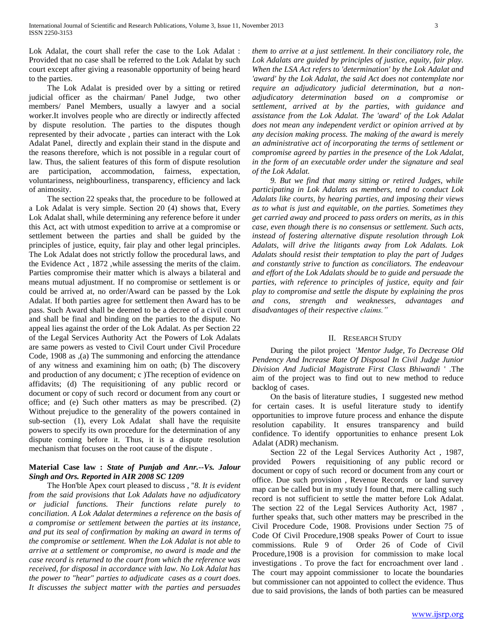Lok Adalat, the court shall refer the case to the Lok Adalat : Provided that no case shall be referred to the Lok Adalat by such court except after giving a reasonable opportunity of being heard to the parties.

 The Lok Adalat is presided over by a sitting or retired judicial officer as the chairman/ Panel Judge, two other members/ Panel Members, usually a lawyer and a social worker.It involves people who are directly or indirectly affected by dispute resolution. The parties to the disputes though represented by their advocate , parties can interact with the Lok Adalat Panel, directly and explain their stand in the dispute and the reasons therefore, which is not possible in a regular court of law. Thus, the salient features of this form of dispute resolution are participation, accommodation, fairness, expectation, voluntariness, neighbourliness, transparency, efficiency and lack of animosity.

 The section 22 speaks that, the procedure to be followed at a Lok Adalat is very simple. Section 20 (4) shows that, Every Lok Adalat shall, while determining any reference before it under this Act, act with utmost expedition to arrive at a compromise or settlement between the parties and shall be guided by the principles of justice, equity, fair play and other legal principles. The Lok Adalat does not strictly follow the procedural laws, and the Evidence Act , 1872 ,while assessing the merits of the claim. Parties compromise their matter which is always a bilateral and means mutual adjustment. If no compromise or settlement is or could be arrived at, no order/Award can be passed by the Lok Adalat. If both parties agree for settlement then Award has to be pass. Such Award shall be deemed to be a decree of a civil court and shall be final and binding on the parties to the dispute. No appeal lies against the order of the Lok Adalat. As per Section 22 of the Legal Services Authority Act the Powers of Lok Adalats are same powers as vested to Civil Court under Civil Procedure Code, 1908 as ,(a) The summoning and enforcing the attendance of any witness and examining him on oath; (b) The discovery and production of any document; c )The reception of evidence on affidavits; (d) The requisitioning of any public record or document or copy of such record or document from any court or office; and (e) Such other matters as may be prescribed. (2) Without prejudice to the generality of the powers contained in sub-section (1), every Lok Adalat shall have the requisite powers to specify its own procedure for the determination of any dispute coming before it. Thus, it is a dispute resolution mechanism that focuses on the root cause of the dispute .

# **Material Case law :** *State of Punjab and Anr.--Vs. Jalour Singh and Ors. Reported in AIR 2008 SC 1209*

 The Hon'ble Apex court pleased to discuss , ''*8. It is evident from the said provisions that Lok Adalats have no adjudicatory or judicial functions. Their functions relate purely to conciliation. A Lok Adalat determines a reference on the basis of a compromise or settlement between the parties at its instance, and put its seal of confirmation by making an award in terms of the compromise or settlement. When the Lok Adalat is not able to arrive at a settlement or compromise, no award is made and the case record is returned to the court from which the reference was received, for disposal in accordance with law. No Lok Adalat has the power to "hear" parties to adjudicate cases as a court does. It discusses the subject matter with the parties and persuades*  *them to arrive at a just settlement. In their conciliatory role, the Lok Adalats are guided by principles of justice, equity, fair play. When the LSA Act refers to 'determination' by the Lok Adalat and*  'award' by the Lok Adalat, the said Act does not contemplate nor *require an adjudicatory judicial determination, but a nonadjudicatory determination based on a compromise or settlement, arrived at by the parties, with guidance and assistance from the Lok Adalat. The 'award' of the Lok Adalat does not mean any independent verdict or opinion arrived at by any decision making process. The making of the award is merely an administrative act of incorporating the terms of settlement or compromise agreed by parties in the presence of the Lok Adalat, in the form of an executable order under the signature and seal of the Lok Adalat.*

 *9. But we find that many sitting or retired Judges, while participating in Lok Adalats as members, tend to conduct Lok Adalats like courts, by hearing parties, and imposing their views as to what is just and equitable, on the parties. Sometimes they get carried away and proceed to pass orders on merits, as in this case, even though there is no consensus or settlement. Such acts, instead of fostering alternative dispute resolution through Lok Adalats, will drive the litigants away from Lok Adalats. Lok Adalats should resist their temptation to play the part of Judges and constantly strive to function as conciliators. The endeavour and effort of the Lok Adalats should be to guide and persuade the parties, with reference to principles of justice, equity and fair play to compromise and settle the dispute by explaining the pros and cons, strength and weaknesses, advantages and disadvantages of their respective claims."*

#### II. RESEARCH STUDY

 During the pilot project '*Mentor Judge, To Decrease Old Pendency And Increase Rate Of Disposal In Civil Judge Junior Division And Judicial Magistrate First Class Bhiwandi* ' .The aim of the project was to find out to new method to reduce backlog of cases.

 On the basis of literature studies, I suggested new method for certain cases. It is useful literature study to identify opportunities to improve future process and enhance the dispute resolution capability. It ensures transparency and build confidence. To identify opportunities to enhance present Lok Adalat (ADR) mechanism.

 Section 22 of the Legal Services Authority Act , 1987, provided Powers requisitioning of any public record or document or copy of such record or document from any court or office. Due such provision , Revenue Records or land survey map can be called but in my study I found that, mere calling such record is not sufficient to settle the matter before Lok Adalat. The section 22 of the Legal Services Authority Act, 1987 , further speaks that, such other matters may be prescribed in the Civil Procedure Code, 1908. Provisions under Section 75 of Code Of Civil Procedure,1908 speaks Power of Court to issue commissions. Rule 9 of Order 26 of Code of Civil Procedure,1908 is a provision for commission to make local investigations . To prove the fact for encroachment over land . The court may appoint commissioner to locate the boundaries but commissioner can not appointed to collect the evidence. Thus due to said provisions, the lands of both parties can be measured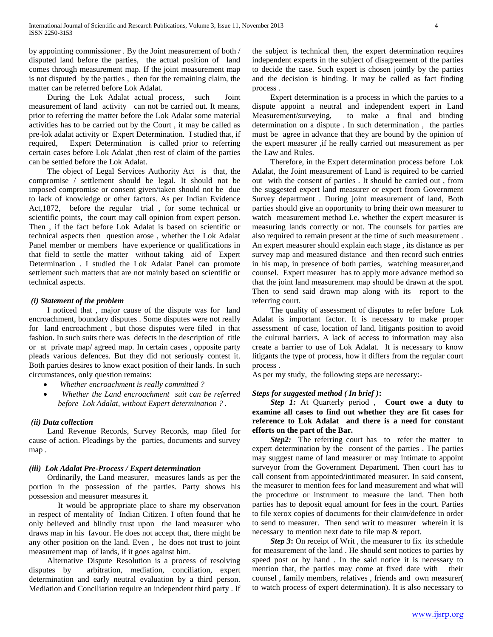by appointing commissioner . By the Joint measurement of both / disputed land before the parties, the actual position of land comes through measurement map. If the joint measurement map is not disputed by the parties , then for the remaining claim, the matter can be referred before Lok Adalat.

 During the Lok Adalat actual process, such Joint measurement of land activity can not be carried out. It means, prior to referring the matter before the Lok Adalat some material activities has to be carried out by the Court , it may be called as pre-lok adalat activity or Expert Determination. I studied that, if required, Expert Determination is called prior to referring certain cases before Lok Adalat ,then rest of claim of the parties can be settled before the Lok Adalat.

 The object of Legal Services Authority Act is that, the compromise / settlement should be legal. It should not be imposed compromise or consent given/taken should not be due to lack of knowledge or other factors. As per Indian Evidence Act,1872, before the regular trial , for some technical or scientific points, the court may call opinion from expert person. Then , if the fact before Lok Adalat is based on scientific or technical aspects then question arose , whether the Lok Adalat Panel member or members have experience or qualifications in that field to settle the matter without taking aid of Expert Determination . I studied the Lok Adalat Panel can promote settlement such matters that are not mainly based on scientific or technical aspects.

#### *(i) Statement of the problem*

 I noticed that , major cause of the dispute was for land encroachment, boundary disputes . Some disputes were not really for land encroachment , but those disputes were filed in that fashion. In such suits there was defects in the description of title or at private map/ agreed map. In certain cases , opposite party pleads various defences. But they did not seriously contest it. Both parties desires to know exact position of their lands. In such circumstances, only question remains:

- *Whether encroachment is really committed ?*
- *Whether the Land encroachment suit can be referred before Lok Adalat, without Expert determination ? .*

## *(ii) Data collection*

 Land Revenue Records, Survey Records, map filed for cause of action. Pleadings by the parties, documents and survey map .

## *(iii) Lok Adalat Pre-Process / Expert determination*

 Ordinarily, the Land measurer, measures lands as per the portion in the possession of the parties. Party shows his possession and measurer measures it.

It would be appropriate place to share my observation in respect of mentality of Indian Citizen. I often found that he only believed and blindly trust upon the land measurer who draws map in his favour. He does not accept that, there might be any other position on the land. Even , he does not trust to joint measurement map of lands, if it goes against him.

 Alternative Dispute Resolution is a process of resolving disputes by arbitration, mediation, conciliation, expert determination and early neutral evaluation by a third person. Mediation and Conciliation require an independent third party . If

the subject is technical then, the expert determination requires independent experts in the subject of disagreement of the parties to decide the case. Such expert is chosen jointly by the parties and the decision is binding. It may be called as fact finding process .

 Expert determination is a process in which the parties to a dispute appoint a neutral and independent expert in Land Measurement/surveying, to make a final and binding determination on a dispute . In such determination , the parties must be agree in advance that they are bound by the opinion of the expert measurer ,if he really carried out measurement as per the Law and Rules.

 Therefore, in the Expert determination process before Lok Adalat, the Joint measurement of Land is required to be carried out with the consent of parties . It should be carried out , from the suggested expert land measurer or expert from Government Survey department . During joint measurement of land, Both parties should give an opportunity to bring their own measurer to watch measurement method I.e. whether the expert measurer is measuring lands correctly or not. The counsels for parties are also required to remain present at the time of such measurement . An expert measurer should explain each stage , its distance as per survey map and measured distance and then record such entries in his map, in presence of both parties, watching measurer,and counsel. Expert measurer has to apply more advance method so that the joint land measurement map should be drawn at the spot. Then to send said drawn map along with its report to the referring court.

 The quality of assessment of disputes to refer before Lok Adalat is important factor. It is necessary to make proper assessment of case, location of land, litigants position to avoid the cultural barriers. A lack of access to information may also create a barrier to use of Lok Adalat. It is necessary to know litigants the type of process, how it differs from the regular court process .

As per my study, the following steps are necessary:-

## *Steps for suggested method ( In brief )***:**

 *Step 1:* At Quarterly period , **Court owe a duty to examine all cases to find out whether they are fit cases for reference to Lok Adalat and there is a need for constant efforts on the part of the Bar.**

*Step2:* The referring court has to refer the matter to expert determination by the consent of the parties . The parties may suggest name of land measurer or may intimate to appoint surveyor from the Government Department. Then court has to call consent from appointed/intimated measurer. In said consent, the measurer to mention fees for land measurement and what will the procedure or instrument to measure the land. Then both parties has to deposit equal amount for fees in the court. Parties to file xerox copies of documents for their claim/defence in order to send to measurer. Then send writ to measurer wherein it is necessary to mention next date to file map & report.

 *Step 3***:** On receipt of Writ , the measurer to fix its schedule for measurement of the land . He should sent notices to parties by speed post or by hand . In the said notice it is necessary to mention that, the parties may come at fixed date with their counsel , family members, relatives , friends and own measurer( to watch process of expert determination). It is also necessary to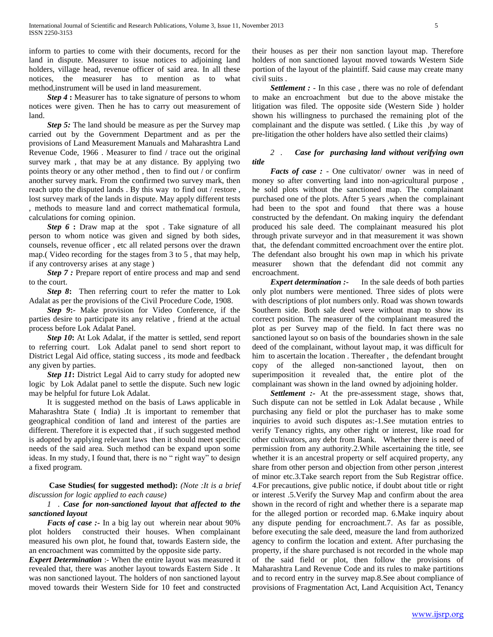inform to parties to come with their documents, record for the land in dispute. Measurer to issue notices to adjoining land holders, village head, revenue officer of said area. In all these notices, the measurer has to mention as to what method,instrument will be used in land measurement.

 *Step 4* **:** Measurer has to take signature of persons to whom notices were given. Then he has to carry out measurement of land.

 *Step 5:* The land should be measure as per the Survey map carried out by the Government Department and as per the provisions of Land Measurement Manuals and Maharashtra Land Revenue Code, 1966 . Measurer to find / trace out the original survey mark , that may be at any distance. By applying two points theory or any other method , then to find out / or confirm another survey mark. From the confirmed two survey mark, then reach upto the disputed lands . By this way to find out / restore , lost survey mark of the lands in dispute. May apply different tests , methods to measure land and correct mathematical formula, calculations for coming opinion.

*Step 6* **:** Draw map at the spot. Take signature of all person to whom notice was given and signed by both sides, counsels, revenue officer , etc all related persons over the drawn map.( Video recording for the stages from 3 to 5 , that may help, if any controversy arises at any stage )

*Step 7 :* Prepare report of entire process and map and send to the court.

 *Step 8***:** Then referring court to refer the matter to Lok Adalat as per the provisions of the Civil Procedure Code, 1908.

 *Step 9***:**- Make provision for Video Conference, if the parties desire to participate its any relative , friend at the actual process before Lok Adalat Panel.

*Step 10*: At Lok Adalat, if the matter is settled, send report to referring court. Lok Adalat panel to send short report to District Legal Aid office, stating success , its mode and feedback any given by parties.

 *Step 11***:** District Legal Aid to carry study for adopted new logic by Lok Adalat panel to settle the dispute. Such new logic may be helpful for future Lok Adalat.

 It is suggested method on the basis of Laws applicable in Maharashtra State ( India) .It is important to remember that geographical condition of land and interest of the parties are different. Therefore it is expected that , if such suggested method is adopted by applying relevant laws then it should meet specific needs of the said area. Such method can be expand upon some ideas. In my study, I found that, there is no " right way" to design a fixed program.

 **Case Studies( for suggested method):** *(Note :It is a brief discussion for logic applied to each cause)*

# *1 . Case for non-sanctioned layout that affected to the sanctioned layout*

*Facts of case* :- In a big lay out wherein near about 90% plot holders constructed their houses. When complainant measured his own plot, he found that, towards Eastern side, the an encroachment was committed by the opposite side party.

*Expert Determination* :- When the entire layout was measured it revealed that, there was another layout towards Eastern Side . It was non sanctioned layout. The holders of non sanctioned layout moved towards their Western Side for 10 feet and constructed

their houses as per their non sanction layout map. Therefore holders of non sanctioned layout moved towards Western Side portion of the layout of the plaintiff. Said cause may create many civil suits .

 *Settlement :* - In this case , there was no role of defendant to make an encroachment but due to the above mistake the litigation was filed. The opposite side (Western Side ) holder shown his willingness to purchased the remaining plot of the complainant and the dispute was settled. ( Like this ,by way of pre-litigation the other holders have also settled their claims)

# *2 . Case for purchasing land without verifying own title*

 *Facts of case :* - One cultivator/ owner was in need of money so after converting land into non-agricultural purpose , he sold plots without the sanctioned map. The complainant purchased one of the plots. After 5 years ,when the complainant had been to the spot and found that there was a house constructed by the defendant. On making inquiry the defendant produced his sale deed. The complainant measured his plot through private surveyor and in that measurement it was shown that, the defendant committed encroachment over the entire plot. The defendant also brought his own map in which his private measurer shown that the defendant did not commit any encroachment.

 *Expert determination :-* In the sale deeds of both parties only plot numbers were mentioned. Three sides of plots were with descriptions of plot numbers only. Road was shown towards Southern side. Both sale deed were without map to show its correct position. The measurer of the complainant measured the plot as per Survey map of the field. In fact there was no sanctioned layout so on basis of the boundaries shown in the sale deed of the complainant, without layout map, it was difficult for him to ascertain the location . Thereafter , the defendant brought copy of the alleged non-sanctioned layout, then on superimposition it revealed that, the entire plot of the complainant was shown in the land owned by adjoining holder.

 *Settlement :-* At the pre-assessment stage, shows that, Such dispute can not be settled in Lok Adalat because , While purchasing any field or plot the purchaser has to make some inquiries to avoid such disputes as:-1.See mutation entries to verify Tenancy rights, any other right or interest, like road for other cultivators, any debt from Bank. Whether there is need of permission from any authority.2.While ascertaining the title, see whether it is an ancestral property or self acquired property, any share from other person and objection from other person ,interest of minor etc.3.Take search report from the Sub Registrar office. 4.For precautions, give public notice, if doubt about title or right or interest .5.Verify the Survey Map and confirm about the area shown in the record of right and whether there is a separate map for the alleged portion or recorded map. 6.Make inquiry about any dispute pending for encroachment.7. As far as possible, before executing the sale deed, measure the land from authorized agency to confirm the location and extent. After purchasing the property, if the share purchased is not recorded in the whole map of the said field or plot, then follow the provisions of Maharashtra Land Revenue Code and its rules to make partitions and to record entry in the survey map.8.See about compliance of provisions of Fragmentation Act, Land Acquisition Act, Tenancy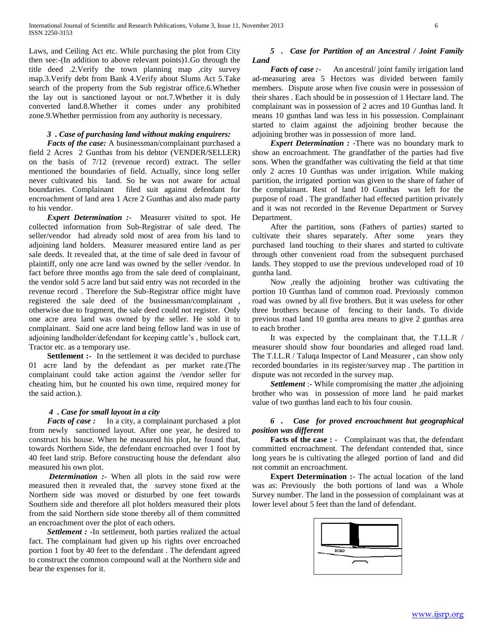Laws, and Ceiling Act etc. While purchasing the plot from City then see:-(In addition to above relevant points)1.Go through the title deed .2.Verify the town planning map ,city survey map.3.Verify debt from Bank 4.Verify about Slums Act 5.Take search of the property from the Sub registrar office.6.Whether the lay out is sanctioned layout or not.7.Whether it is duly converted land.8.Whether it comes under any prohibited zone.9.Whether permission from any authority is necessary.

## *3 . Case of purchasing land without making enquirers:*

 *Facts of the case:* A businessman/complainant purchased a field 2 Acres 2 Gunthas from his debtor (VENDER/SELLER) on the basis of 7/12 (revenue record) extract. The seller mentioned the boundaries of field. Actually, since long seller never cultivated his land. So he was not aware for actual boundaries. Complainant filed suit against defendant for encroachment of land area 1 Acre 2 Gunthas and also made party to his vendor.

 *Expert Determination :*- Measurer visited to spot. He collected information from Sub-Registrar of sale deed. The seller/vendor had already sold most of area from his land to adjoining land holders. Measurer measured entire land as per sale deeds. It revealed that, at the time of sale deed in favour of plaintiff, only one acre land was owned by the seller /vendor. In fact before three months ago from the sale deed of complainant, the vendor sold 5 acre land but said entry was not recorded in the revenue record . Therefore the Sub-Registrar office might have registered the sale deed of the businessman/complainant , otherwise due to fragment, the sale deed could not register. Only one acre area land was owned by the seller. He sold it to complainant. Said one acre land being fellow land was in use of adjoining landholder/defendant for keeping cattle's , bullock cart, Tractor etc. as a temporary use.

**Settlement :-** In the settlement it was decided to purchase 01 acre land by the defendant as per market rate.(The complainant could take action against the /vendor seller for cheating him, but he counted his own time, required money for the said action.).

#### *4 . Case for small layout in a city*

 *Facts of case :* In a city, a complainant purchased a plot from newly sanctioned layout. After one year, he desired to construct his house. When he measured his plot, he found that, towards Northern Side, the defendant encroached over 1 foot by 40 feet land strip. Before constructing house the defendant also measured his own plot.

 *Determination :*- When all plots in the said row were measured then it revealed that, the survey stone fixed at the Northern side was moved or disturbed by one feet towards Southern side and therefore all plot holders measured their plots from the said Northern side stone thereby all of them committed an encroachment over the plot of each others.

 *Settlement :* -In settlement, both parties realized the actual fact. The complainant had given up his rights over encroached portion 1 foot by 40 feet to the defendant . The defendant agreed to construct the common compound wall at the Northern side and bear the expenses for it.

# *5 . Case for Partition of an Ancestral / Joint Family Land*

*Facts of case :*- An ancestral/ joint family irrigation land ad-measuring area 5 Hectors was divided between family members. Dispute arose when five cousin were in possession of their shares . Each should be in possession of 1 Hectare land. The complainant was in possession of 2 acres and 10 Gunthas land. It means 10 gunthas land was less in his possession. Complainant started to claim against the adjoining brother because the adjoining brother was in possession of more land.

*Expert Determination :* -There was no boundary mark to show an encroachment. The grandfather of the parties had five sons. When the grandfather was cultivating the field at that time only 2 acres 10 Gunthas was under irrigation. While making partition, the irrigated portion was given to the share of father of the complainant. Rest of land 10 Gunthas was left for the purpose of road . The grandfather had effected partition privately and it was not recorded in the Revenue Department or Survey Department.

 After the partition, sons (Fathers of parties) started to cultivate their shares separately. After some years they purchased land touching to their shares and started to cultivate through other convenient road from the subsequent purchased lands. They stopped to use the previous undeveloped road of 10 guntha land.

 Now ,really the adjoining brother was cultivating the portion 10 Gunthas land of common road. Previously common road was owned by all five brothers. But it was useless for other three brothers because of fencing to their lands. To divide previous road land 10 guntha area means to give 2 gunthas area to each brother .

 It was expected by the complainant that, the T.I.L.R / measurer should show four boundaries and alleged road land. The T.I.L.R / Taluqa Inspector of Land Measurer , can show only recorded boundaries in its register/survey map . The partition in dispute was not recorded in the survey map.

*Settlement* :- While compromising the matter, the adjoining brother who was in possession of more land he paid market value of two gunthas land each to his four cousin.

# *6 . Case for proved encroachment but geographical position was different*

**Facts of the case :** - Complainant was that, the defendant committed encroachment. The defendant contended that, since long years he is cultivating the alleged portion of land and did not commit an encroachment.

 **Expert Determination :**- The actual location of the land was as: Previously the both portions of land was a Whole Survey number. The land in the possession of complainant was at lower level about 5 feet than the land of defendant.

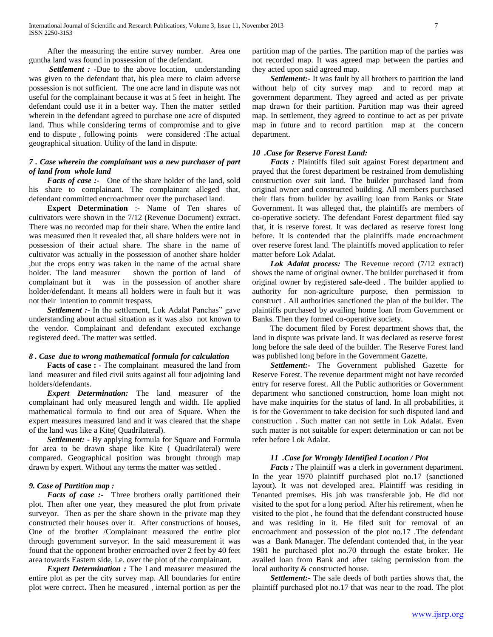After the measuring the entire survey number. Area one guntha land was found in possession of the defendant.

 *Settlement : -*Due to the above location, understanding was given to the defendant that, his plea mere to claim adverse possession is not sufficient. The one acre land in dispute was not useful for the complainant because it was at 5 feet in height. The defendant could use it in a better way. Then the matter settled wherein in the defendant agreed to purchase one acre of disputed land. Thus while considering terms of compromise and to give end to dispute , following points were considered :The actual geographical situation. Utility of the land in dispute.

# *7 . Case wherein the complainant was a new purchaser of part of land from whole land*

 *Facts of case :-* One of the share holder of the land, sold his share to complainant. The complainant alleged that, defendant committed encroachment over the purchased land.

 **Expert Determination** :- Name of Ten shares of cultivators were shown in the 7/12 (Revenue Document) extract. There was no recorded map for their share. When the entire land was measured then it revealed that, all share holders were not in possession of their actual share. The share in the name of cultivator was actually in the possession of another share holder ,but the crops entry was taken in the name of the actual share holder. The land measurer shown the portion of land of complainant but it was in the possession of another share holder/defendant. It means all holders were in fault but it was not their intention to commit trespass.

*Settlement :-* In the settlement, Lok Adalat Panchas" gave understanding about actual situation as it was also not known to the vendor. Complainant and defendant executed exchange registered deed. The matter was settled.

#### *8 . Case due to wrong mathematical formula for calculation*

 **Facts of case :** - The complainant measured the land from land measurer and filed civil suits against all four adjoining land holders/defendants.

 *Expert Determination:* The land measurer of the complainant had only measured length and width. He applied mathematical formula to find out area of Square. When the expert measures measured land and it was cleared that the shape of the land was like a Kite( Quadrilateral).

 *Settlement: -* By applying formula for Square and Formula for area to be drawn shape like Kite ( Quadrilateral) were compared. Geographical position was brought through map drawn by expert. Without any terms the matter was settled .

### *9. Case of Partition map :*

 *Facts of case :***-** Three brothers orally partitioned their plot. Then after one year, they measured the plot from private surveyor. Then as per the share shown in the private map they constructed their houses over it. After constructions of houses, One of the brother /Complainant measured the entire plot through government surveyor. In the said measurement it was found that the opponent brother encroached over 2 feet by 40 feet area towards Eastern side, i.e. over the plot of the complainant.

 *Expert Determination :* The Land measurer measured the entire plot as per the city survey map. All boundaries for entire plot were correct. Then he measured , internal portion as per the partition map of the parties. The partition map of the parties was not recorded map. It was agreed map between the parties and they acted upon said agreed map.

 *Settlement:***-** It was fault by all brothers to partition the land without help of city survey map and to record map at government department. They agreed and acted as per private map drawn for their partition. Partition map was their agreed map. In settlement, they agreed to continue to act as per private map in future and to record partition map at the concern department.

#### *10 .Case for Reserve Forest Land:*

 *Facts :* Plaintiffs filed suit against Forest department and prayed that the forest department be restrained from demolishing construction over suit land. The builder purchased land from original owner and constructed building. All members purchased their flats from builder by availing loan from Banks or State Government. It was alleged that, the plaintiffs are members of co-operative society. The defendant Forest department filed say that, it is reserve forest. It was declared as reserve forest long before. It is contended that the plaintiffs made encroachment over reserve forest land. The plaintiffs moved application to refer matter before Lok Adalat.

 *Lok Adalat process:* The Revenue record (7/12 extract) shows the name of original owner. The builder purchased it from original owner by registered sale-deed . The builder applied to authority for non-agriculture purpose, then permission to construct . All authorities sanctioned the plan of the builder. The plaintiffs purchased by availing home loan from Government or Banks. Then they formed co-operative society.

 The document filed by Forest department shows that, the land in dispute was private land. It was declared as reserve forest long before the sale deed of the builder. The Reserve Forest land was published long before in the Government Gazette.

 *Settlement:-* The Government published Gazette for Reserve Forest. The revenue department might not have recorded entry for reserve forest. All the Public authorities or Government department who sanctioned construction, home loan might not have make inquiries for the status of land. In all probabilities, it is for the Government to take decision for such disputed land and construction . Such matter can not settle in Lok Adalat. Even such matter is not suitable for expert determination or can not be refer before Lok Adalat.

#### *11 .Case for Wrongly Identified Location / Plot*

 *Facts :* The plaintiff was a clerk in government department. In the year 1970 plaintiff purchased plot no.17 (sanctioned layout). It was not developed area. Plaintiff was residing in Tenanted premises. His job was transferable job. He did not visited to the spot for a long period. After his retirement, when he visited to the plot , he found that the defendant constructed house and was residing in it. He filed suit for removal of an encroachment and possession of the plot no.17 .The defendant was a Bank Manager. The defendant contended that, in the year 1981 he purchased plot no.70 through the estate broker. He availed loan from Bank and after taking permission from the local authority & constructed house.

 *Settlement:***-** The sale deeds of both parties shows that, the plaintiff purchased plot no.17 that was near to the road. The plot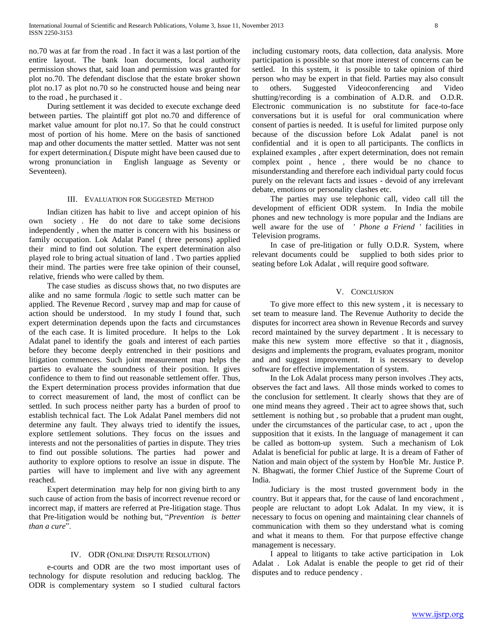no.70 was at far from the road . In fact it was a last portion of the entire layout. The bank loan documents, local authority permission shows that, said loan and permission was granted for plot no.70. The defendant disclose that the estate broker shown plot no.17 as plot no.70 so he constructed house and being near to the road , he purchased it .

 During settlement it was decided to execute exchange deed between parties. The plaintiff got plot no.70 and difference of market value amount for plot no.17. So that he could construct most of portion of his home. Mere on the basis of sanctioned map and other documents the matter settled. Matter was not sent for expert determination.( Dispute might have been caused due to wrong pronunciation in English language as Seventy or Seventeen).

#### III. EVALUATION FOR SUGGESTED METHOD

 Indian citizen has habit to live and accept opinion of his own society . He do not dare to take some decisions independently , when the matter is concern with his business or family occupation. Lok Adalat Panel ( three persons) applied their mind to find out solution. The expert determination also played role to bring actual situation of land . Two parties applied their mind. The parties were free take opinion of their counsel, relative, friends who were called by them.

 The case studies as discuss shows that, no two disputes are alike and no same formula /logic to settle such matter can be applied. The Revenue Record , survey map and map for cause of action should be understood. In my study I found that, such expert determination depends upon the facts and circumstances of the each case. It is limited procedure. It helps to the Lok Adalat panel to identify the goals and interest of each parties before they become deeply entrenched in their positions and litigation commences. Such joint measurement map helps the parties to evaluate the soundness of their position. It gives confidence to them to find out reasonable settlement offer. Thus, the Expert determination process provides information that due to correct measurement of land, the most of conflict can be settled. In such process neither party has a burden of proof to establish technical fact. The Lok Adalat Panel members did not determine any fault. They always tried to identify the issues, explore settlement solutions. They focus on the issues and interests and not the personalities of parties in dispute. They tries to find out possible solutions. The parties had power and authority to explore options to resolve an issue in dispute. The parties will have to implement and live with any agreement reached.

 Expert determination may help for non giving birth to any such cause of action from the basis of incorrect revenue record or incorrect map, if matters are referred at Pre-litigation stage. Thus that Pre-litigation would be nothing but, "*Prevention is better than a cure*".

#### IV. ODR (ONLINE DISPUTE RESOLUTION)

 e-courts and ODR are the two most important uses of technology for dispute resolution and reducing backlog. The ODR is complementary system so I studied cultural factors

including customary roots, data collection, data analysis. More participation is possible so that more interest of concerns can be settled. In this system, it is possible to take opinion of third person who may be expert in that field. Parties may also consult to others. Suggested Videoconferencing and Video shutting/recording is a combination of A.D.R. and O.D.R. Electronic communication is no substitute for face-to-face conversations but it is useful for oral communication where consent of parties is needed. It is useful for limited purpose only because of the discussion before Lok Adalat panel is not confidential and it is open to all participants. The conflicts in explained examples , after expert determination, does not remain complex point , hence , there would be no chance to misunderstanding and therefore each individual party could focus purely on the relevant facts and issues - devoid of any irrelevant debate, emotions or personality clashes etc.

 The parties may use telephonic call, video call till the development of efficient ODR system. In India the mobile phones and new technology is more popular and the Indians are well aware for the use of *' Phone a Friend '* facilities in Television programs.

 In case of pre-litigation or fully O.D.R. System, where relevant documents could be supplied to both sides prior to seating before Lok Adalat , will require good software.

## V. CONCLUSION

 To give more effect to this new system , it is necessary to set team to measure land. The Revenue Authority to decide the disputes for incorrect area shown in Revenue Records and survey record maintained by the survey department . It is necessary to make this new system more effective so that it , diagnosis, designs and implements the program, evaluates program, monitor and and suggest improvement. It is necessary to develop software for effective implementation of system.

 In the Lok Adalat process many person involves .They acts, observes the fact and laws. All those minds worked to comes to the conclusion for settlement. It clearly shows that they are of one mind means they agreed . Their act to agree shows that, such settlement is nothing but , so probable that a prudent man ought, under the circumstances of the particular case, to act , upon the supposition that it exists. In the language of management it can be called as bottom-up system. Such a mechanism of Lok Adalat is beneficial for public at large. It is a dream of Father of Nation and main object of the system by Hon'ble Mr. Justice P. N. Bhagwati, the former Chief Justice of the Supreme Court of India.

 Judiciary is the most trusted government body in the country. But it appears that, for the cause of land encorachment , people are reluctant to adopt Lok Adalat. In my view, it is necessary to focus on opening and maintaining clear channels of communication with them so they understand what is coming and what it means to them. For that purpose effective change management is necessary.

 I appeal to litigants to take active participation in Lok Adalat . Lok Adalat is enable the people to get rid of their disputes and to reduce pendency .